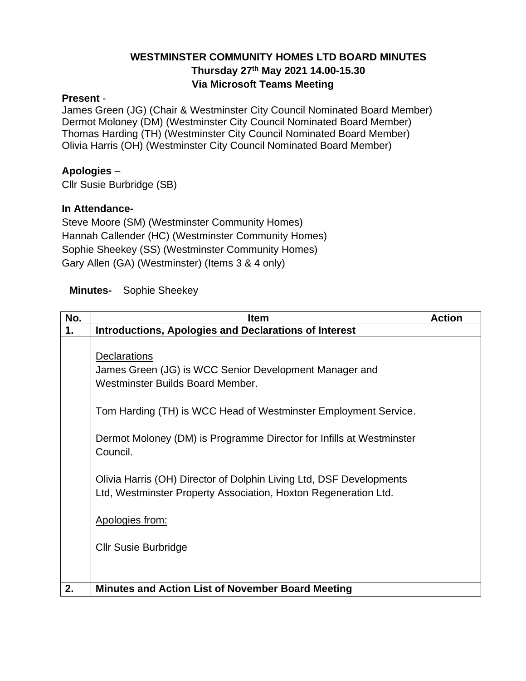# **WESTMINSTER COMMUNITY HOMES LTD BOARD MINUTES Thursday 27th May 2021 14.00-15.30 Via Microsoft Teams Meeting**

#### **Present** -

James Green (JG) (Chair & Westminster City Council Nominated Board Member) Dermot Moloney (DM) (Westminster City Council Nominated Board Member) Thomas Harding (TH) (Westminster City Council Nominated Board Member) Olivia Harris (OH) (Westminster City Council Nominated Board Member)

# **Apologies** –

Cllr Susie Burbridge (SB)

# **In Attendance-**

Steve Moore (SM) (Westminster Community Homes) Hannah Callender (HC) (Westminster Community Homes) Sophie Sheekey (SS) (Westminster Community Homes) Gary Allen (GA) (Westminster) (Items 3 & 4 only)

# **Minutes-** Sophie Sheekey

| No. | <b>Item</b>                                                                                                                                                                          | <b>Action</b> |
|-----|--------------------------------------------------------------------------------------------------------------------------------------------------------------------------------------|---------------|
| 1.  | <b>Introductions, Apologies and Declarations of Interest</b>                                                                                                                         |               |
|     | <b>Declarations</b><br>James Green (JG) is WCC Senior Development Manager and<br>Westminster Builds Board Member.<br>Tom Harding (TH) is WCC Head of Westminster Employment Service. |               |
|     | Dermot Moloney (DM) is Programme Director for Infills at Westminster<br>Council.                                                                                                     |               |
|     | Olivia Harris (OH) Director of Dolphin Living Ltd, DSF Developments<br>Ltd, Westminster Property Association, Hoxton Regeneration Ltd.                                               |               |
|     | Apologies from:                                                                                                                                                                      |               |
|     | <b>Cllr Susie Burbridge</b>                                                                                                                                                          |               |
| 2.  | <b>Minutes and Action List of November Board Meeting</b>                                                                                                                             |               |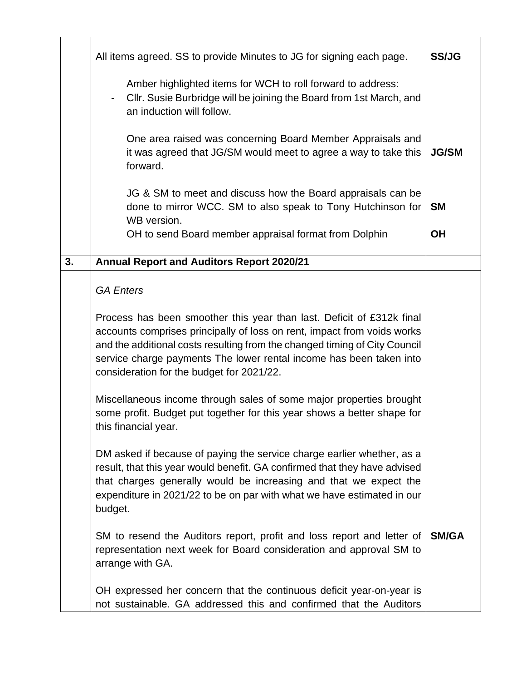|    | All items agreed. SS to provide Minutes to JG for signing each page.                                                                                                                                                                                                                                                                               | <b>SS/JG</b>           |
|----|----------------------------------------------------------------------------------------------------------------------------------------------------------------------------------------------------------------------------------------------------------------------------------------------------------------------------------------------------|------------------------|
|    | Amber highlighted items for WCH to roll forward to address:<br>Cllr. Susie Burbridge will be joining the Board from 1st March, and<br>$\overline{\phantom{a}}$<br>an induction will follow.                                                                                                                                                        |                        |
|    | One area raised was concerning Board Member Appraisals and<br>it was agreed that JG/SM would meet to agree a way to take this<br>forward.                                                                                                                                                                                                          | <b>JG/SM</b>           |
|    | JG & SM to meet and discuss how the Board appraisals can be<br>done to mirror WCC. SM to also speak to Tony Hutchinson for<br>WB version.<br>OH to send Board member appraisal format from Dolphin                                                                                                                                                 | <b>SM</b><br><b>OH</b> |
| 3. |                                                                                                                                                                                                                                                                                                                                                    |                        |
|    | <b>Annual Report and Auditors Report 2020/21</b>                                                                                                                                                                                                                                                                                                   |                        |
|    | <b>GA Enters</b>                                                                                                                                                                                                                                                                                                                                   |                        |
|    | Process has been smoother this year than last. Deficit of £312k final<br>accounts comprises principally of loss on rent, impact from voids works<br>and the additional costs resulting from the changed timing of City Council<br>service charge payments The lower rental income has been taken into<br>consideration for the budget for 2021/22. |                        |
|    | Miscellaneous income through sales of some major properties brought<br>some profit. Budget put together for this year shows a better shape for<br>this financial year.                                                                                                                                                                             |                        |
|    | DM asked if because of paying the service charge earlier whether, as a<br>result, that this year would benefit. GA confirmed that they have advised<br>that charges generally would be increasing and that we expect the<br>expenditure in 2021/22 to be on par with what we have estimated in our<br>budget.                                      |                        |
|    | SM to resend the Auditors report, profit and loss report and letter of<br>representation next week for Board consideration and approval SM to<br>arrange with GA.                                                                                                                                                                                  | <b>SM/GA</b>           |
|    | OH expressed her concern that the continuous deficit year-on-year is<br>not sustainable. GA addressed this and confirmed that the Auditors                                                                                                                                                                                                         |                        |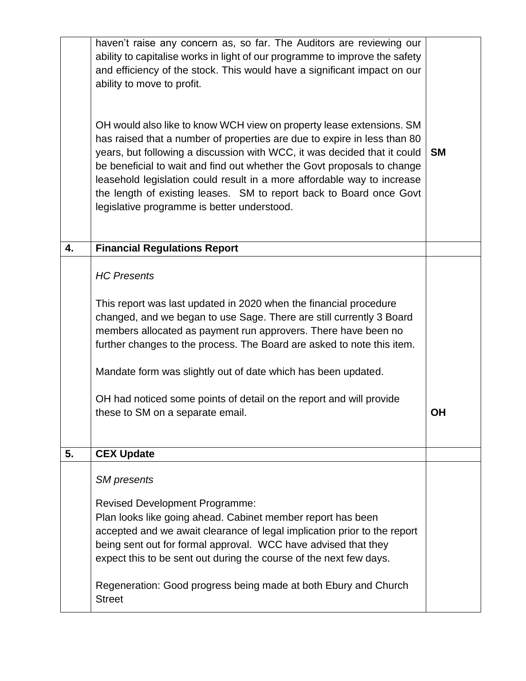|    | haven't raise any concern as, so far. The Auditors are reviewing our<br>ability to capitalise works in light of our programme to improve the safety<br>and efficiency of the stock. This would have a significant impact on our<br>ability to move to profit.<br>OH would also like to know WCH view on property lease extensions. SM<br>has raised that a number of properties are due to expire in less than 80<br>years, but following a discussion with WCC, it was decided that it could<br>be beneficial to wait and find out whether the Govt proposals to change<br>leasehold legislation could result in a more affordable way to increase<br>the length of existing leases. SM to report back to Board once Govt<br>legislative programme is better understood. | <b>SM</b> |
|----|---------------------------------------------------------------------------------------------------------------------------------------------------------------------------------------------------------------------------------------------------------------------------------------------------------------------------------------------------------------------------------------------------------------------------------------------------------------------------------------------------------------------------------------------------------------------------------------------------------------------------------------------------------------------------------------------------------------------------------------------------------------------------|-----------|
| 4. | <b>Financial Regulations Report</b>                                                                                                                                                                                                                                                                                                                                                                                                                                                                                                                                                                                                                                                                                                                                       |           |
|    | <b>HC Presents</b><br>This report was last updated in 2020 when the financial procedure<br>changed, and we began to use Sage. There are still currently 3 Board<br>members allocated as payment run approvers. There have been no<br>further changes to the process. The Board are asked to note this item.<br>Mandate form was slightly out of date which has been updated.<br>OH had noticed some points of detail on the report and will provide<br>these to SM on a separate email.                                                                                                                                                                                                                                                                                   | <b>OH</b> |
| 5. | <b>CEX Update</b>                                                                                                                                                                                                                                                                                                                                                                                                                                                                                                                                                                                                                                                                                                                                                         |           |
|    | <b>SM</b> presents<br><b>Revised Development Programme:</b><br>Plan looks like going ahead. Cabinet member report has been<br>accepted and we await clearance of legal implication prior to the report<br>being sent out for formal approval. WCC have advised that they<br>expect this to be sent out during the course of the next few days.<br>Regeneration: Good progress being made at both Ebury and Church<br><b>Street</b>                                                                                                                                                                                                                                                                                                                                        |           |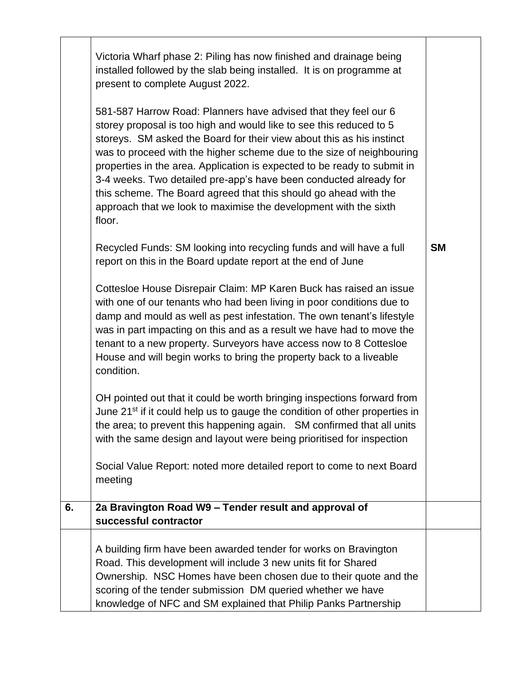|    | Victoria Wharf phase 2: Piling has now finished and drainage being<br>installed followed by the slab being installed. It is on programme at<br>present to complete August 2022.<br>581-587 Harrow Road: Planners have advised that they feel our 6<br>storey proposal is too high and would like to see this reduced to 5<br>storeys. SM asked the Board for their view about this as his instinct<br>was to proceed with the higher scheme due to the size of neighbouring<br>properties in the area. Application is expected to be ready to submit in<br>3-4 weeks. Two detailed pre-app's have been conducted already for<br>this scheme. The Board agreed that this should go ahead with the<br>approach that we look to maximise the development with the sixth<br>floor.<br>Recycled Funds: SM looking into recycling funds and will have a full<br>report on this in the Board update report at the end of June<br>Cottesloe House Disrepair Claim: MP Karen Buck has raised an issue<br>with one of our tenants who had been living in poor conditions due to<br>damp and mould as well as pest infestation. The own tenant's lifestyle<br>was in part impacting on this and as a result we have had to move the<br>tenant to a new property. Surveyors have access now to 8 Cottesloe<br>House and will begin works to bring the property back to a liveable<br>condition.<br>OH pointed out that it could be worth bringing inspections forward from<br>June 21 <sup>st</sup> if it could help us to gauge the condition of other properties in<br>the area; to prevent this happening again. SM confirmed that all units<br>with the same design and layout were being prioritised for inspection<br>Social Value Report: noted more detailed report to come to next Board<br>meeting | <b>SM</b> |
|----|--------------------------------------------------------------------------------------------------------------------------------------------------------------------------------------------------------------------------------------------------------------------------------------------------------------------------------------------------------------------------------------------------------------------------------------------------------------------------------------------------------------------------------------------------------------------------------------------------------------------------------------------------------------------------------------------------------------------------------------------------------------------------------------------------------------------------------------------------------------------------------------------------------------------------------------------------------------------------------------------------------------------------------------------------------------------------------------------------------------------------------------------------------------------------------------------------------------------------------------------------------------------------------------------------------------------------------------------------------------------------------------------------------------------------------------------------------------------------------------------------------------------------------------------------------------------------------------------------------------------------------------------------------------------------------------------------------------------------------------------------------------------------------------------------|-----------|
| 6. | 2a Bravington Road W9 - Tender result and approval of<br>successful contractor                                                                                                                                                                                                                                                                                                                                                                                                                                                                                                                                                                                                                                                                                                                                                                                                                                                                                                                                                                                                                                                                                                                                                                                                                                                                                                                                                                                                                                                                                                                                                                                                                                                                                                                   |           |
|    | A building firm have been awarded tender for works on Bravington<br>Road. This development will include 3 new units fit for Shared<br>Ownership. NSC Homes have been chosen due to their quote and the<br>scoring of the tender submission DM queried whether we have<br>knowledge of NFC and SM explained that Philip Panks Partnership                                                                                                                                                                                                                                                                                                                                                                                                                                                                                                                                                                                                                                                                                                                                                                                                                                                                                                                                                                                                                                                                                                                                                                                                                                                                                                                                                                                                                                                         |           |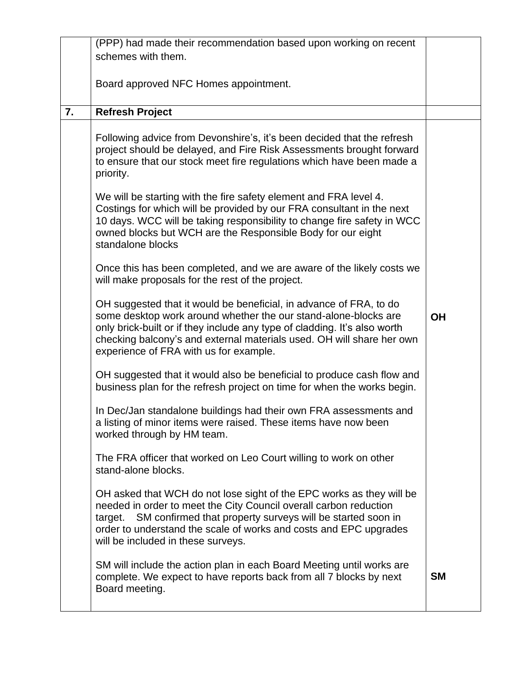|    | (PPP) had made their recommendation based upon working on recent                                                                                                                                                                                                                                                                                                                                                                                                                                                                                                                                                                                                                                                                                                                                                                                                                                                                                                                                                                                                                                                                                                                                                                                                                                                                                   |           |
|----|----------------------------------------------------------------------------------------------------------------------------------------------------------------------------------------------------------------------------------------------------------------------------------------------------------------------------------------------------------------------------------------------------------------------------------------------------------------------------------------------------------------------------------------------------------------------------------------------------------------------------------------------------------------------------------------------------------------------------------------------------------------------------------------------------------------------------------------------------------------------------------------------------------------------------------------------------------------------------------------------------------------------------------------------------------------------------------------------------------------------------------------------------------------------------------------------------------------------------------------------------------------------------------------------------------------------------------------------------|-----------|
|    | schemes with them.                                                                                                                                                                                                                                                                                                                                                                                                                                                                                                                                                                                                                                                                                                                                                                                                                                                                                                                                                                                                                                                                                                                                                                                                                                                                                                                                 |           |
|    |                                                                                                                                                                                                                                                                                                                                                                                                                                                                                                                                                                                                                                                                                                                                                                                                                                                                                                                                                                                                                                                                                                                                                                                                                                                                                                                                                    |           |
|    | Board approved NFC Homes appointment.                                                                                                                                                                                                                                                                                                                                                                                                                                                                                                                                                                                                                                                                                                                                                                                                                                                                                                                                                                                                                                                                                                                                                                                                                                                                                                              |           |
|    |                                                                                                                                                                                                                                                                                                                                                                                                                                                                                                                                                                                                                                                                                                                                                                                                                                                                                                                                                                                                                                                                                                                                                                                                                                                                                                                                                    |           |
| 7. | <b>Refresh Project</b>                                                                                                                                                                                                                                                                                                                                                                                                                                                                                                                                                                                                                                                                                                                                                                                                                                                                                                                                                                                                                                                                                                                                                                                                                                                                                                                             |           |
|    | Following advice from Devonshire's, it's been decided that the refresh<br>project should be delayed, and Fire Risk Assessments brought forward<br>to ensure that our stock meet fire regulations which have been made a<br>priority.<br>We will be starting with the fire safety element and FRA level 4.<br>Costings for which will be provided by our FRA consultant in the next<br>10 days. WCC will be taking responsibility to change fire safety in WCC<br>owned blocks but WCH are the Responsible Body for our eight<br>standalone blocks<br>Once this has been completed, and we are aware of the likely costs we<br>will make proposals for the rest of the project.<br>OH suggested that it would be beneficial, in advance of FRA, to do<br>some desktop work around whether the our stand-alone-blocks are<br>only brick-built or if they include any type of cladding. It's also worth<br>checking balcony's and external materials used. OH will share her own<br>experience of FRA with us for example.<br>OH suggested that it would also be beneficial to produce cash flow and<br>business plan for the refresh project on time for when the works begin.<br>In Dec/Jan standalone buildings had their own FRA assessments and<br>a listing of minor items were raised. These items have now been<br>worked through by HM team. | <b>OH</b> |
|    | The FRA officer that worked on Leo Court willing to work on other<br>stand-alone blocks.                                                                                                                                                                                                                                                                                                                                                                                                                                                                                                                                                                                                                                                                                                                                                                                                                                                                                                                                                                                                                                                                                                                                                                                                                                                           |           |
|    | OH asked that WCH do not lose sight of the EPC works as they will be<br>needed in order to meet the City Council overall carbon reduction<br>SM confirmed that property surveys will be started soon in<br>target.<br>order to understand the scale of works and costs and EPC upgrades<br>will be included in these surveys.                                                                                                                                                                                                                                                                                                                                                                                                                                                                                                                                                                                                                                                                                                                                                                                                                                                                                                                                                                                                                      |           |
|    | SM will include the action plan in each Board Meeting until works are<br>complete. We expect to have reports back from all 7 blocks by next<br>Board meeting.                                                                                                                                                                                                                                                                                                                                                                                                                                                                                                                                                                                                                                                                                                                                                                                                                                                                                                                                                                                                                                                                                                                                                                                      | <b>SM</b> |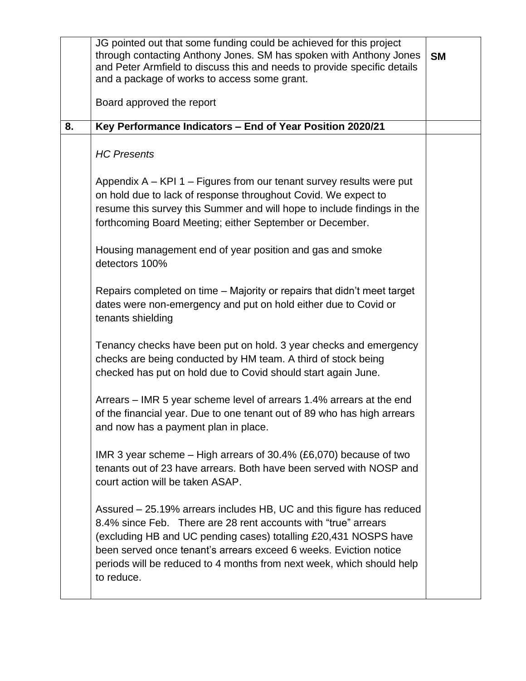|    | JG pointed out that some funding could be achieved for this project<br>through contacting Anthony Jones. SM has spoken with Anthony Jones<br>and Peter Armfield to discuss this and needs to provide specific details<br>and a package of works to access some grant.                                                                                                  | <b>SM</b> |
|----|------------------------------------------------------------------------------------------------------------------------------------------------------------------------------------------------------------------------------------------------------------------------------------------------------------------------------------------------------------------------|-----------|
|    | Board approved the report                                                                                                                                                                                                                                                                                                                                              |           |
| 8. | Key Performance Indicators - End of Year Position 2020/21                                                                                                                                                                                                                                                                                                              |           |
|    | <b>HC Presents</b>                                                                                                                                                                                                                                                                                                                                                     |           |
|    | Appendix $A - KPI 1 - Figures from our tenant survey results were put$<br>on hold due to lack of response throughout Covid. We expect to<br>resume this survey this Summer and will hope to include findings in the<br>forthcoming Board Meeting; either September or December.                                                                                        |           |
|    | Housing management end of year position and gas and smoke<br>detectors 100%                                                                                                                                                                                                                                                                                            |           |
|    | Repairs completed on time – Majority or repairs that didn't meet target<br>dates were non-emergency and put on hold either due to Covid or<br>tenants shielding                                                                                                                                                                                                        |           |
|    | Tenancy checks have been put on hold. 3 year checks and emergency<br>checks are being conducted by HM team. A third of stock being<br>checked has put on hold due to Covid should start again June.                                                                                                                                                                    |           |
|    | Arrears – IMR 5 year scheme level of arrears 1.4% arrears at the end<br>of the financial year. Due to one tenant out of 89 who has high arrears<br>and now has a payment plan in place.                                                                                                                                                                                |           |
|    | IMR 3 year scheme $-$ High arrears of 30.4% (£6,070) because of two<br>tenants out of 23 have arrears. Both have been served with NOSP and<br>court action will be taken ASAP.                                                                                                                                                                                         |           |
|    | Assured – 25.19% arrears includes HB, UC and this figure has reduced<br>8.4% since Feb. There are 28 rent accounts with "true" arrears<br>(excluding HB and UC pending cases) totalling £20,431 NOSPS have<br>been served once tenant's arrears exceed 6 weeks. Eviction notice<br>periods will be reduced to 4 months from next week, which should help<br>to reduce. |           |